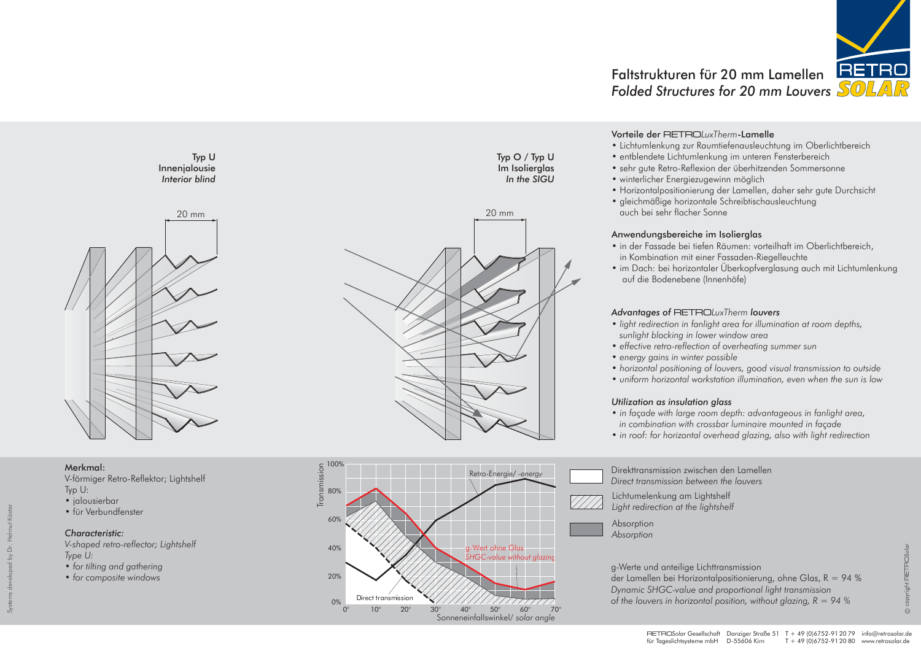

## Merkmal:

V-förmiger Retro-Reflektor; Lightshelf Typ U:

- jalousierbar
- für Verbundfenster

## *Characteristic:*

*V-shaped retro-reflector; Lightshelf Type U:*

- *for tilting and gathering*
- *for composite windows*

# Faltstrukturen für 20 mm Lamellen *Folded Structures for 20 mm Louvers*

Typ O / Typ U Im Isolierglas *In the SIGU*



Typ U



Direkttransmission zwischen den Lamellen *Direct transmission between the louvers* Lichtumelenkung am Lightshelf *Light redirection at the lightshelf*



g-Werte und anteilige Lichttransmission der Lamellen bei Horizontalpositionierung, ohne Glas,  $R = 94$  % *Dynamic SHGC-value and proportional light transmission of the louvers in horizontal position, without glazing, R = 94 %*

## Vorteile der RETRO*LuxTherm*-Lamelle

- 
- sehr gute Retro-Reflexion der überhitzenden Sommersonne
- 
- - auch bei sehr flacher Sonne

# Anwendungsbereiche im Isolierglas

- Lichtumlenkung zur Raumtiefenausleuchtung im Oberlichtbereich • entblendete Lichtumlenkung im unteren Fensterbereich
- winterlicher Energiezugewinn möglich
- Horizontalpositionierung der Lamellen, daher sehr gute Durchsicht • gleichmäßige horizontale Schreibtischausleuchtung
	-
- in der Fassade bei tiefen Räumen: vorteilhaft im Oberlichtbereich, in Kombination mit einer Fassaden-Riegelleuchte • im Dach: bei horizontaler Überkopfverglasung auch mit Lichtumlenkung
- *light redirection in fanlight area for illumination at room depths,* 
	-
	-
- *horizontal positioning of louvers, good visual transmission to outside* • *uniform horizontal workstation illumination, even when the sun is low*

**RETROSola**  $\odot$ 

- 
- auf die Bodenebene (Innenhöfe)

# *Advantages of* RETRO*LuxTherm louvers*

- *sunlight blocking in lower window area*
- *effective retro-reflection of overheating summer sun*
- *energy gains in winter possible*
- 
- 

## *Utilization as insulation glass*

- 
- *in façade with large room depth: advantageous in fanlight area, in combination with crossbar luminaire mounted in façade* • *in roof: for horizontal overhead glazing, also with light redirection*